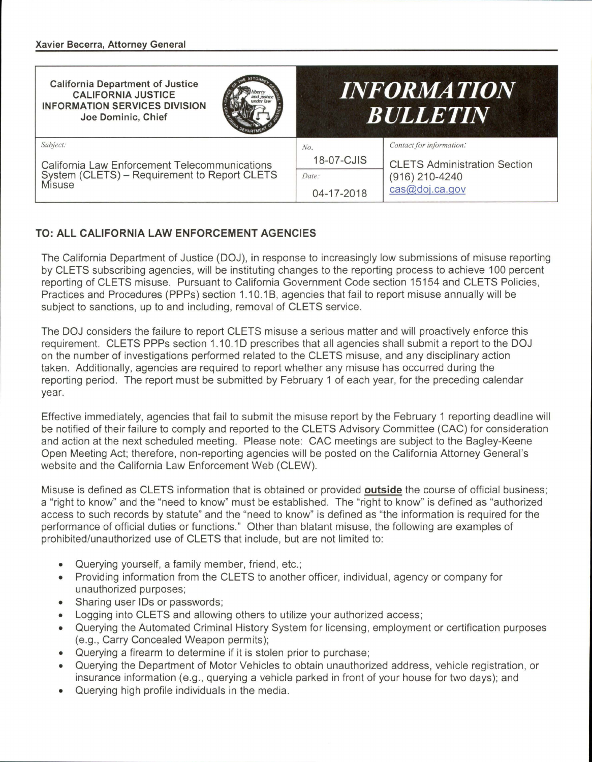| <b>California Department of Justice</b><br><b>CALIFORNIA JUSTICE</b><br><b>INFORMATION SERVICES DIVISION</b><br>Joe Dominic, Chief |            | <i><b>INFORMATION</b></i><br><b>BULLETIN</b> |
|------------------------------------------------------------------------------------------------------------------------------------|------------|----------------------------------------------|
| Subject:                                                                                                                           | No.        | Contact for information:                     |
| California Law Enforcement Telecommunications<br>System (CLETS) - Requirement to Report CLETS<br>Misuse                            | 18-07-CJIS | <b>CLETS Administration Section</b>          |
|                                                                                                                                    | Date:      | (916) 210-4240                               |
|                                                                                                                                    | 04-17-2018 | cas@doj.ca.gov                               |

## **TO: ALL CALIFORNIA LAW ENFORCEMENT AGENCIES**

The California Department of Justice (DOJ), in response to increasingly low submissions of misuse reporting by CLETS subscribing agencies, will be instituting changes to the reporting process to achieve 100 percent reporting of CLETS misuse. Pursuant to California Government Code section 15154 and CLETS Policies, Practices and Procedures (PPPs) section 1.10.1B, agencies that fail to report misuse annually will be subject to sanctions, up to and including, removal of CLETS service.

The DOJ considers the failure to report CLETS misuse a serious matter and will proactively enforce this requirement. CLETS PPPs section 1.10.1D prescribes that all agencies shall submit a report to the DOJ on the number of investigations performed related to the CLETS misuse, and any disciplinary action taken. Additionally, agencies are required to report whether any misuse has occurred during the reporting period. The report must be submitted by February 1 of each year, for the preceding calendar year.

Effective immediately, agencies that fail to submit the misuse report by the February 1 reporting deadline will be notified of their failure to comply and reported to the CLETS Advisory Committee (CAC) for consideration and action at the next scheduled meeting. Please note: CAC meetings are subject to the Bagley-Keene Open Meeting Act; therefore, non-reporting agencies will be posted on the California Attorney General's website and the California Law Enforcement Web (CLEW).

Misuse is defined as CLETS information that is obtained or provided **outside** the course of official business; a "right to know" and the "need to know" must be established. The "right to know" is defined as "authorized access to such records by statute" and the "need to know" is defined as "the information is required for the performance of official duties or functions." Other than blatant misuse, the following are examples of prohibited/unauthorized use of CLETS that include, but are not limited to:

- Querying yourself, a family member, friend, etc.;
- Providing information from the CLETS to another officer, individual, agency or company for unauthorized purposes;
- Sharing user IDs or passwords;
- Logging into CLETS and allowing others to utilize your authorized access;
- Querying the Automated Criminal History System for licensing, employment or certification purposes (e.g. , Carry Concealed Weapon permits);
- Querying a firearm to determine if it is stolen prior to purchase;
- Querying the Department of Motor Vehicles to obtain unauthorized address, vehicle registration , or insurance information (e.g., querying a vehicle parked in front of your house for two days); and
- Querying high profile individuals in the media.